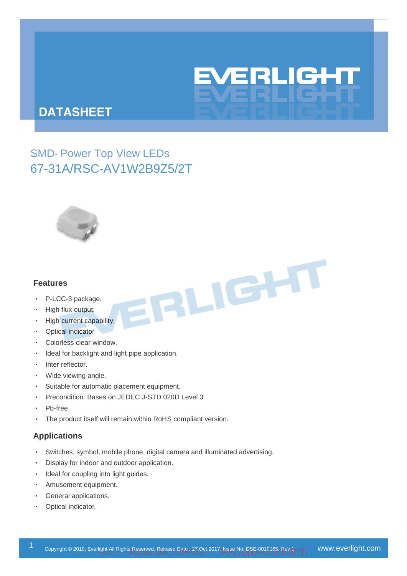# EVERLIGHT

# **DATASHEET**

SMD- Power Top View LEDs 67-31A/RSC-AV1W2B9Z5/2T



#### **Features**

- ‧ P-LCC-3 package.
- ‧ High flux output.
- High current capability.
- ‧ Optical indicator
- ‧ Colorless clear window.
- Ideal for backlight and light pipe application.
- ‧ Inter reflector.
- Wide viewing angle.
- Suitable for automatic placement equipment.
- ‧ Precondition: Bases on JEDEC J-STD 020D Level 3
- Pb-free.
- The product itself will remain within RoHS compliant version.

#### **Applications**

- Switches, symbol, mobile phone, digital camera and illuminated advertising.
- Display for indoor and outdoor application.
- ‧ Ideal for coupling into light guides.
- ‧ Amusement equipment.
- General applications.
- Optical indicator.

FRLIGHT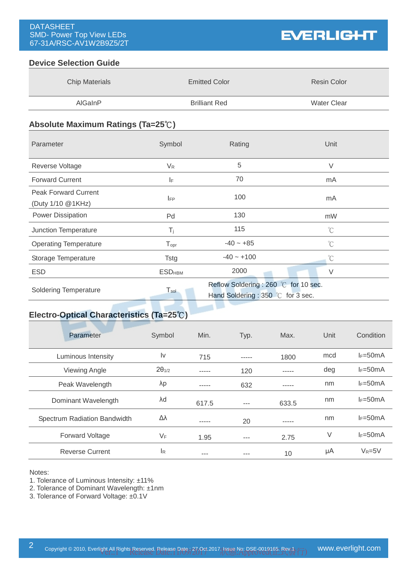#### **Device Selection Guide**

| <b>Chip Materials</b> | <b>Emitted Color</b> | Resin Color |
|-----------------------|----------------------|-------------|
| AlGaInP               | <b>Brilliant Red</b> | Water Clear |

#### **Absolute Maximum Ratings (Ta=25**℃**)**

| Parameter                                        | Symbol                      | Rating                                                                    | Unit                 |  |
|--------------------------------------------------|-----------------------------|---------------------------------------------------------------------------|----------------------|--|
| Reverse Voltage                                  | $V_{R}$                     | 5                                                                         | $\vee$               |  |
| <b>Forward Current</b>                           | I۴                          | 70                                                                        | mA                   |  |
| <b>Peak Forward Current</b><br>(Duty 1/10 @1KHz) | <b>IFP</b>                  | 100                                                                       | mA                   |  |
| <b>Power Dissipation</b>                         | Pd                          | 130                                                                       | mW                   |  |
| Junction Temperature                             | $T_i$                       | 115                                                                       | $^{\circ}$ C         |  |
| <b>Operating Temperature</b>                     | $\mathsf{T}_{\mathsf{opr}}$ | $-40 - +85$                                                               | $\mathrm{C}^{\circ}$ |  |
| Storage Temperature                              | Tstg                        | $-40 - +100$                                                              | $\mathrm{C}$         |  |
| <b>ESD</b>                                       | <b>ESD<sub>HBM</sub></b>    | 2000                                                                      | $\vee$               |  |
| <b>Soldering Temperature</b>                     | $T_{sol}$                   | Reflow Soldering: 260 °C for 10 sec.<br>Hand Soldering: 350 °C for 3 sec. |                      |  |

# **Electro-Optical Characteristics (Ta=25**℃**)**

| Parameter                    | Symbol                 | Min.  | Typ.    | Max.  | Unit | Condition    |
|------------------------------|------------------------|-------|---------|-------|------|--------------|
| Luminous Intensity           | $\mathsf{I}\mathsf{v}$ | 715   | -----   | 1800  | mcd  | $I_F = 50mA$ |
| <b>Viewing Angle</b>         | $2\theta_{1/2}$        | ----- | 120     |       | deg  | $I_F = 50mA$ |
| Peak Wavelength              | λp                     | ----- | 632     | ----- | nm   | $I_F = 50mA$ |
| Dominant Wavelength          | λd                     | 617.5 | $- - -$ | 633.5 | nm   | $I_F = 50mA$ |
| Spectrum Radiation Bandwidth | Δλ                     | ----- | 20      | ----- | nm   | $I_F = 50mA$ |
| <b>Forward Voltage</b>       | $V_F$                  | 1.95  | $- - -$ | 2.75  | V    | $I_F = 50mA$ |
| <b>Reverse Current</b>       | <sup>IR</sup>          | ---   | ---     | 10    | μA   | $V_R = 5V$   |

Notes:

1. Tolerance of Luminous Intensity: ±11%

2. Tolerance of Dominant Wavelength: ±1nm

3. Tolerance of Forward Voltage: ±0.1V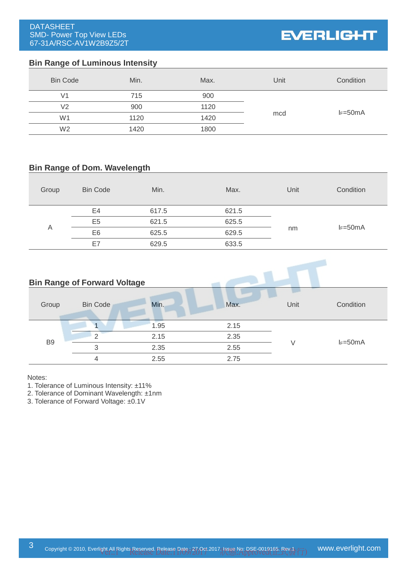# **EVERLIGHT**

#### **Bin Range of Luminous Intensity**

| <b>Bin Code</b> | Min. | Max. | Unit | Condition    |
|-----------------|------|------|------|--------------|
| V <sub>1</sub>  | 715  | 900  |      |              |
| V <sub>2</sub>  | 900  | 1120 |      |              |
| W <sub>1</sub>  | 1120 | 1420 | mcd  | $I_F = 50mA$ |
| W <sub>2</sub>  | 1420 | 1800 |      |              |

#### **Bin Range of Dom. Wavelength**

| Group                                             | <b>Bin Code</b> | Min.  | Max.             | Unit | Condition |
|---------------------------------------------------|-----------------|-------|------------------|------|-----------|
| E4<br>E <sub>5</sub><br>Α<br>E <sub>6</sub><br>E7 |                 | 617.5 | 621.5            |      |           |
|                                                   | 621.5           | 625.5 | $I_F=50mA$<br>nm |      |           |
|                                                   | 625.5           | 629.5 |                  |      |           |
|                                                   |                 | 629.5 | 633.5            |      |           |

# **Bin Range of Forward Voltage** Group Bin Code Min. Min. Max. Unit Condition B9 1 1.95 2.15  $V = 50mA$ 2 2.15 2.35 3 2.35 2.55 4 2.55 2.75

Notes:

1. Tolerance of Luminous Intensity: ±11%

2. Tolerance of Dominant Wavelength: ±1nm

3. Tolerance of Forward Voltage: ±0.1V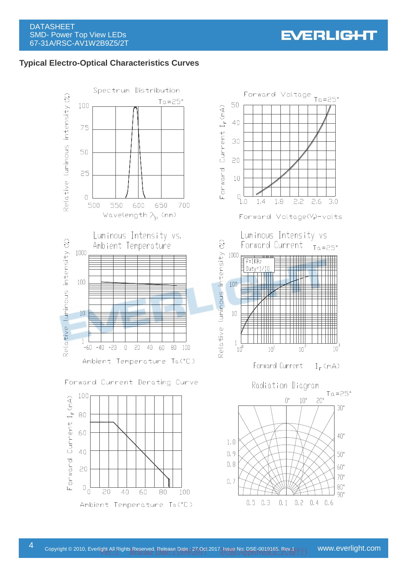# **Typical Electro-Optical Characteristics Curves**



Forward Current Derating Curve





 $0.5$ 

 $0.3$ 

 $0.1$   $0.2$   $0.4$   $0.6$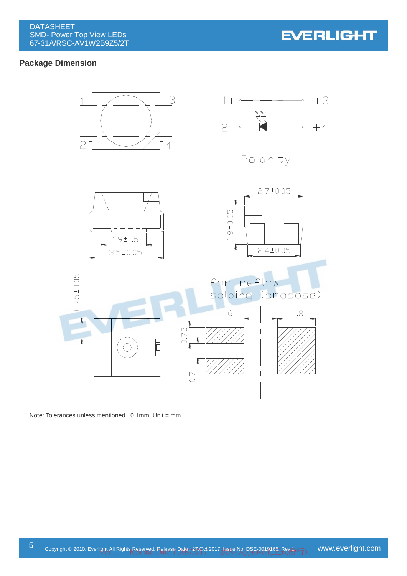## **Package Dimension**



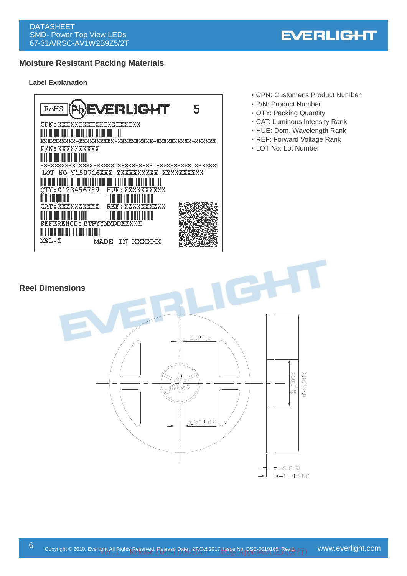# **Moisture Resistant Packing Materials**

#### **Label Explanation**



‧CPN: Customer's Product Number

**EVERLIGHT** 

- ‧P/N: Product Number
- ‧QTY: Packing Quantity
- ‧CAT: Luminous Intensity Rank
- ‧HUE: Dom. Wavelength Rank
- ‧REF: Forward Voltage Rank
- ‧LOT No: Lot Number

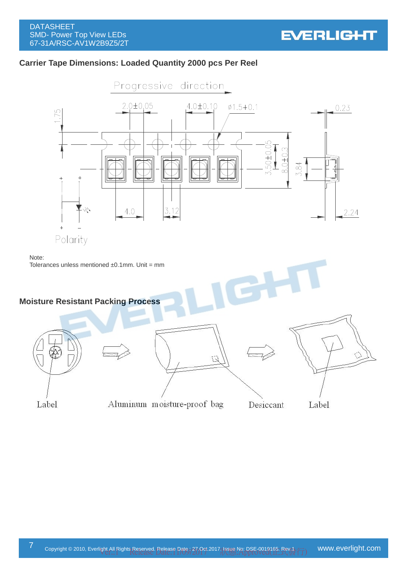

## **Carrier Tape Dimensions: Loaded Quantity 2000 pcs Per Reel**

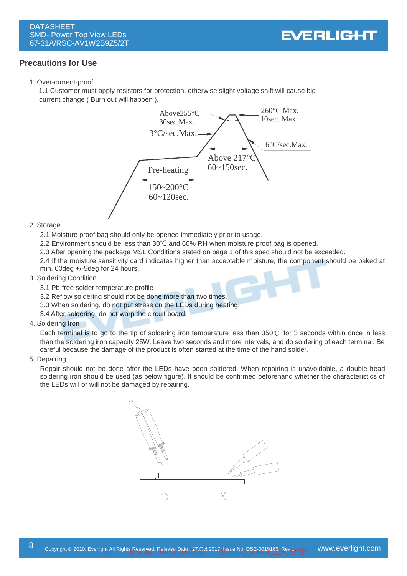#### **Precautions for Use**

1. Over-current-proof

1.1 Customer must apply resistors for protection, otherwise slight voltage shift will cause big current change ( Burn out will happen ).



#### 2. Storage

- 2.1 Moisture proof bag should only be opened immediately prior to usage.
- 2.2 Environment should be less than 30℃ and 60% RH when moisture proof bag is opened.
- 2.3 After opening the package MSL Conditions stated on page 1 of this spec should not be exceeded.
- 2.4 If the moisture sensitivity card indicates higher than acceptable moisture, the component should be baked at min. 60deg +/-5deg for 24 hours.

#### 3. Soldering Condition

- 3.1 Pb-free solder temperature profile
- 3.2 Reflow soldering should not be done more than two times.
- 3.3 When soldering, do not put stress on the LEDs during heating.
- 3.4 After soldering, do not warp the circuit board.

#### 4. Soldering Iron

Each terminal is to go to the tip of soldering iron temperature less than 350℃ for 3 seconds within once in less than the soldering iron capacity 25W. Leave two seconds and more intervals, and do soldering of each terminal. Be careful because the damage of the product is often started at the time of the hand solder.

#### 5. Repairing

Repair should not be done after the LEDs have been soldered. When repairing is unavoidable, a double-head soldering iron should be used (as below figure). It should be confirmed beforehand whether the characteristics of the LEDs will or will not be damaged by repairing.